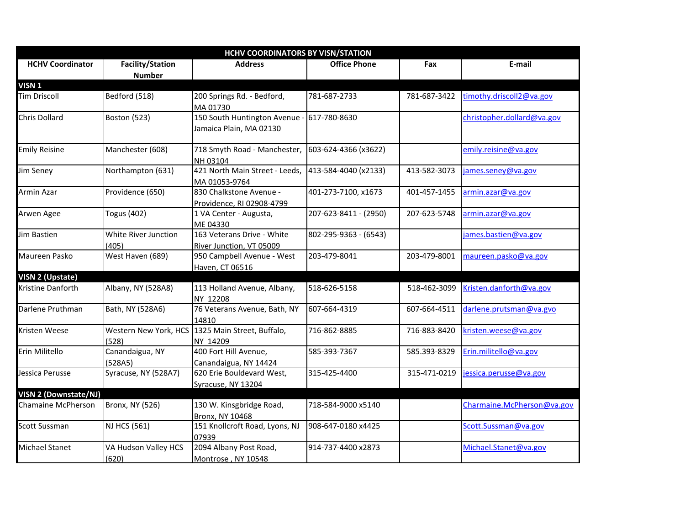| <b>HCHV COORDINATORS BY VISN/STATION</b> |                                          |                                                              |                       |              |                            |  |
|------------------------------------------|------------------------------------------|--------------------------------------------------------------|-----------------------|--------------|----------------------------|--|
| <b>HCHV Coordinator</b>                  | <b>Facility/Station</b><br><b>Number</b> | <b>Address</b>                                               | <b>Office Phone</b>   | Fax          | E-mail                     |  |
| VISN <sub>1</sub>                        |                                          |                                                              |                       |              |                            |  |
| <b>Tim Driscoll</b>                      | Bedford (518)                            | 200 Springs Rd. - Bedford,<br>MA 01730                       | 781-687-2733          | 781-687-3422 | timothy.driscoll2@va.gov   |  |
| <b>Chris Dollard</b>                     | Boston (523)                             | 150 South Huntington Avenue -<br>Jamaica Plain, MA 02130     | 617-780-8630          |              | christopher.dollard@va.gov |  |
| <b>Emily Reisine</b>                     | Manchester (608)                         | 718 Smyth Road - Manchester,<br>NH 03104                     | 603-624-4366 (x3622)  |              | emily.reisine@va.gov       |  |
| Jim Seney                                | Northampton (631)                        | 421 North Main Street - Leeds,<br>MA 01053-9764              | 413-584-4040 (x2133)  | 413-582-3073 | james.seney@va.gov         |  |
| Armin Azar                               | Providence (650)                         | 830 Chalkstone Avenue -<br>Providence, RI 02908-4799         | 401-273-7100, x1673   | 401-457-1455 | armin.azar@va.gov          |  |
| Arwen Agee                               | <b>Togus (402)</b>                       | 1 VA Center - Augusta,<br>ME 04330                           | 207-623-8411 - (2950) | 207-623-5748 | armin.azar@va.gov          |  |
| Jim Bastien                              | White River Junction<br>(405)            | 163 Veterans Drive - White<br>River Junction, VT 05009       | 802-295-9363 - (6543) |              | james.bastien@va.gov       |  |
| Maureen Pasko                            | West Haven (689)                         | 950 Campbell Avenue - West<br>Haven, CT 06516                | 203-479-8041          | 203-479-8001 | maureen.pasko@va.gov       |  |
| VISN 2 (Upstate)                         |                                          |                                                              |                       |              |                            |  |
| Kristine Danforth                        | Albany, NY (528A8)                       | 113 Holland Avenue, Albany,<br>NY 12208                      | 518-626-5158          | 518-462-3099 | Kristen.danforth@va.gov    |  |
| Darlene Pruthman                         | Bath, NY (528A6)                         | 76 Veterans Avenue, Bath, NY<br>14810                        | 607-664-4319          | 607-664-4511 | darlene.prutsman@va.gvo    |  |
| Kristen Weese                            | (528)                                    | Western New York, HCS 1325 Main Street, Buffalo,<br>NY 14209 | 716-862-8885          | 716-883-8420 | kristen.weese@va.gov       |  |
| Erin Militello                           | Canandaigua, NY<br>(528A5)               | 400 Fort Hill Avenue,<br>Canandaigua, NY 14424               | 585-393-7367          | 585.393-8329 | Erin.militello@va.gov      |  |
| Jessica Perusse                          | Syracuse, NY (528A7)                     | 620 Erie Bouldevard West,<br>Syracuse, NY 13204              | 315-425-4400          | 315-471-0219 | jessica.perusse@va.gov     |  |
| <b>VISN 2 (Downstate/NJ)</b>             |                                          |                                                              |                       |              |                            |  |
| Chamaine McPherson                       | <b>Bronx, NY (526)</b>                   | 130 W. Kinsgbridge Road,<br><b>Bronx, NY 10468</b>           | 718-584-9000 x5140    |              | Charmaine.McPherson@va.gov |  |
| <b>Scott Sussman</b>                     | <b>NJ HCS (561)</b>                      | 151 Knollcroft Road, Lyons, NJ<br>07939                      | 908-647-0180 x4425    |              | Scott.Sussman@va.gov       |  |
| <b>Michael Stanet</b>                    | VA Hudson Valley HCS<br>(620)            | 2094 Albany Post Road,<br>Montrose, NY 10548                 | 914-737-4400 x2873    |              | Michael.Stanet@va.gov      |  |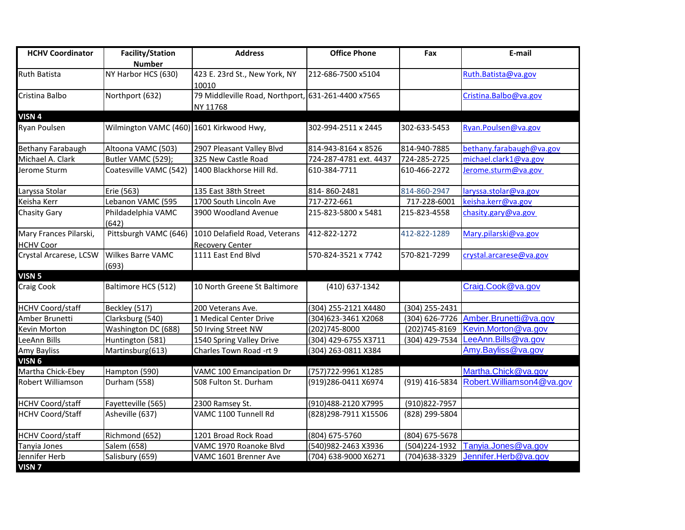| <b>HCHV Coordinator</b>                    | <b>Facility/Station</b><br><b>Number</b> | <b>Address</b>                                                 | <b>Office Phone</b>    | Fax            | E-mail                               |
|--------------------------------------------|------------------------------------------|----------------------------------------------------------------|------------------------|----------------|--------------------------------------|
| <b>Ruth Batista</b>                        | NY Harbor HCS (630)                      | 423 E. 23rd St., New York, NY<br>10010                         | 212-686-7500 x5104     |                | Ruth.Batista@va.gov                  |
| Cristina Balbo                             | Northport (632)                          | 79 Middleville Road, Northport, 631-261-4400 x7565<br>NY 11768 |                        |                | Cristina.Balbo@va.gov                |
| VISN <sub>4</sub>                          |                                          |                                                                |                        |                |                                      |
| Ryan Poulsen                               | Wilmington VAMC (460) 1601 Kirkwood Hwy, |                                                                | 302-994-2511 x 2445    | 302-633-5453   | Ryan.Poulsen@va.gov                  |
| <b>Bethany Farabaugh</b>                   | Altoona VAMC (503)                       | 2907 Pleasant Valley Blvd                                      | 814-943-8164 x 8526    | 814-940-7885   | bethany.farabaugh@va.gov             |
| Michael A. Clark                           | Butler VAMC (529);                       | 325 New Castle Road                                            | 724-287-4781 ext. 4437 | 724-285-2725   | michael.clark1@va.gov                |
| Jerome Sturm                               | Coatesville VAMC (542)                   | 1400 Blackhorse Hill Rd.                                       | 610-384-7711           | 610-466-2272   | Jerome.sturm@va.gov                  |
| Laryssa Stolar                             | Erie (563)                               | 135 East 38th Street                                           | 814-860-2481           | 814-860-2947   | laryssa.stolar@va.gov                |
| Keisha Kerr                                | Lebanon VAMC (595                        | 1700 South Lincoln Ave                                         | 717-272-661            | 717-228-6001   | keisha.kerr@va.gov                   |
| Chasity Gary                               | Phildadelphia VAMC<br>(642)              | 3900 Woodland Avenue                                           | 215-823-5800 x 5481    | 215-823-4558   | chasity.gary@va.gov                  |
| Mary Frances Pilarski,                     | Pittsburgh VAMC (646)                    | 1010 Delafield Road, Veterans                                  | 412-822-1272           | 412-822-1289   | Mary.pilarski@va.gov                 |
| <b>HCHV Coor</b><br>Crystal Arcarese, LCSW | Wilkes Barre VAMC<br>(693)               | <b>Recovery Center</b><br>1111 East End Blvd                   | 570-824-3521 x 7742    | 570-821-7299   | crystal.arcarese@va.gov              |
| VISN <sub>5</sub>                          |                                          |                                                                |                        |                |                                      |
| Craig Cook                                 | Baltimore HCS (512)                      | 10 North Greene St Baltimore                                   | (410) 637-1342         |                | Craig.Cook@va.gov                    |
| <b>HCHV Coord/staff</b>                    | Beckley (517)                            | 200 Veterans Ave.                                              | (304) 255-2121 X4480   | (304) 255-2431 |                                      |
| Amber Brunetti                             | Clarksburg (540)                         | 1 Medical Center Drive                                         | (304) 623-3461 X2068   |                | (304) 626-7726 Amber.Brunetti@va.gov |
| Kevin Morton                               | Washington DC (688)                      | 50 Irving Street NW                                            | (202)745-8000          | (202)745-8169  | Kevin.Morton@va.gov                  |
| LeeAnn Bills                               | Huntington (581)                         | 1540 Spring Valley Drive                                       | (304) 429-6755 X3711   | (304) 429-7534 | LeeAnn.Bills@va.gov                  |
| <b>Amy Bayliss</b>                         | Martinsburg(613)                         | Charles Town Road -rt 9                                        | (304) 263-0811 X384    |                | Amy.Bayliss@va.gov                   |
| VISN <sub>6</sub>                          |                                          |                                                                |                        |                |                                      |
| Martha Chick-Ebey                          | Hampton (590)                            | VAMC 100 Emancipation Dr                                       | (757) 722-9961 X1285   |                | Martha.Chick@va.gov                  |
| Robert Williamson                          | Durham (558)                             | 508 Fulton St. Durham                                          | (919)286-0411 X6974    | (919) 416-5834 | Robert. Williamson4@va.gov           |
| <b>HCHV Coord/staff</b>                    | Fayetteville (565)                       | 2300 Ramsey St.                                                | (910)488-2120 X7995    | (910) 822-7957 |                                      |
| <b>HCHV Coord/Staff</b>                    | Asheville (637)                          | VAMC 1100 Tunnell Rd                                           | (828)298-7911 X15506   | (828) 299-5804 |                                      |
| <b>HCHV Coord/staff</b>                    | Richmond (652)                           | 1201 Broad Rock Road                                           | (804) 675-5760         | (804) 675-5678 |                                      |
| Tanyia Jones                               | Salem (658)                              | VAMC 1970 Roanoke Blvd                                         | (540)982-2463 X3936    | (504)224-1932  | Tanyia.Jones@va.gov                  |
| Jennifer Herb                              | Salisbury (659)                          | VAMC 1601 Brenner Ave                                          | (704) 638-9000 X6271   | (704) 638-3329 | Jennifer.Herb@va.gov                 |
| VISN <sub>7</sub>                          |                                          |                                                                |                        |                |                                      |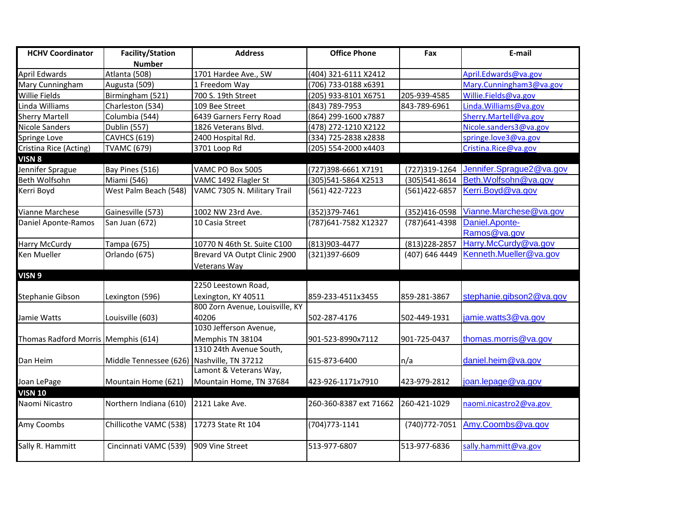| <b>HCHV Coordinator</b>             | <b>Facility/Station</b>                    | <b>Address</b>                  | <b>Office Phone</b>    | Fax            | E-mail                   |
|-------------------------------------|--------------------------------------------|---------------------------------|------------------------|----------------|--------------------------|
|                                     | <b>Number</b>                              |                                 |                        |                |                          |
| <b>April Edwards</b>                | Atlanta (508)                              | 1701 Hardee Ave., SW            | (404) 321-6111 X2412   |                | April.Edwards@va.gov     |
| Mary Cunningham                     | Augusta (509)                              | 1 Freedom Way                   | (706) 733-0188 x6391   |                | Mary.Cunningham3@va.gov  |
| Willie Fields                       | Birmingham (521)                           | 700 S. 19th Street              | (205) 933-8101 X6751   | 205-939-4585   | Willie.Fields@va.gov     |
| Linda Williams                      | Charleston (534)                           | 109 Bee Street                  | (843) 789-7953         | 843-789-6961   | Linda. Williams@va.gov   |
| <b>Sherry Martell</b>               | Columbia (544)                             | 6439 Garners Ferry Road         | (864) 299-1600 x7887   |                | Sherry.Martell@va.gov    |
| Nicole Sanders                      | <b>Dublin (557)</b>                        | 1826 Veterans Blvd.             | (478) 272-1210 X2122   |                | Nicole.sanders3@va.gov   |
| Springe Love                        | <b>CAVHCS (619)</b>                        | 2400 Hospital Rd.               | (334) 725-2838 x2838   |                | springe.love3@va.gov     |
| Cristina Rice (Acting)              | <b>TVAMC (679)</b>                         | 3701 Loop Rd                    | (205) 554-2000 x4403   |                | Cristina.Rice@va.gov     |
| VISN <sub>8</sub>                   |                                            |                                 |                        |                |                          |
| Jennifer Sprague                    | Bay Pines (516)                            | VAMC PO Box 5005                | (727)398-6661 X7191    | (727)319-1264  | Jennifer.Sprague2@va.gov |
| Beth Wolfsohn                       | Miami (546)                                | VAMC 1492 Flagler St            | (305)541-5864 X2513    | (305)541-8614  | Beth.Wolfsohn@va.gov     |
| Kerri Boyd                          | West Palm Beach (548)                      | VAMC 7305 N. Military Trail     | (561) 422-7223         | (561)422-6857  | Kerri.Boyd@va.gov        |
| Vianne Marchese                     | Gainesville (573)                          | 1002 NW 23rd Ave.               | (352)379-7461          | (352)416-0598  | Vianne.Marchese@va.gov   |
| Daniel Aponte-Ramos                 | San Juan (672)                             | 10 Casia Street                 | (787)641-7582 X12327   | (787) 641-4398 | Daniel.Aponte-           |
|                                     |                                            |                                 |                        |                | Ramos@va.gov             |
| <b>Harry McCurdy</b>                | Tampa (675)                                | 10770 N 46th St. Suite C100     | (813)903-4477          | (813) 228-2857 | Harry.McCurdy@va.gov     |
| Ken Mueller                         | Orlando (675)                              | Brevard VA Outpt Clinic 2900    | (321)397-6609          | (407) 646 4449 | Kenneth.Mueller@va.gov   |
|                                     |                                            | Veterans Way                    |                        |                |                          |
| VISN <sub>9</sub>                   |                                            |                                 |                        |                |                          |
|                                     |                                            | 2250 Leestown Road,             |                        |                |                          |
| Stephanie Gibson                    | Lexington (596)                            | Lexington, KY 40511             | 859-233-4511x3455      | 859-281-3867   | stephanie.gibson2@va.gov |
|                                     |                                            | 800 Zorn Avenue, Louisville, KY |                        |                |                          |
| Jamie Watts                         | Louisville (603)                           | 40206                           | 502-287-4176           | 502-449-1931   | jamie.watts3@va.gov      |
|                                     |                                            | 1030 Jefferson Avenue,          |                        |                |                          |
| Thomas Radford Morris Memphis (614) |                                            | Memphis TN 38104                | 901-523-8990x7112      | 901-725-0437   | thomas.morris@va.gov     |
|                                     |                                            | 1310 24th Avenue South,         |                        |                |                          |
| Dan Heim                            | Middle Tennessee (626) Nashville, TN 37212 |                                 | 615-873-6400           | n/a            | daniel.heim@va.gov       |
|                                     |                                            | Lamont & Veterans Way,          |                        |                |                          |
| Joan LePage                         | Mountain Home (621)                        | Mountain Home, TN 37684         | 423-926-1171x7910      | 423-979-2812   | joan.lepage@va.gov       |
| <b>VISN 10</b>                      |                                            |                                 |                        |                |                          |
| Naomi Nicastro                      | Northern Indiana (610)                     | 2121 Lake Ave.                  | 260-360-8387 ext 71662 | 260-421-1029   | naomi.nicastro2@va.gov   |
| Amy Coombs                          | Chillicothe VAMC (538)                     | 17273 State Rt 104              | (704) 773-1141         | (740) 772-7051 | Amy.Coombs@va.gov        |
| Sally R. Hammitt                    | Cincinnati VAMC (539)                      | 909 Vine Street                 | 513-977-6807           | 513-977-6836   | sally.hammitt@va.gov     |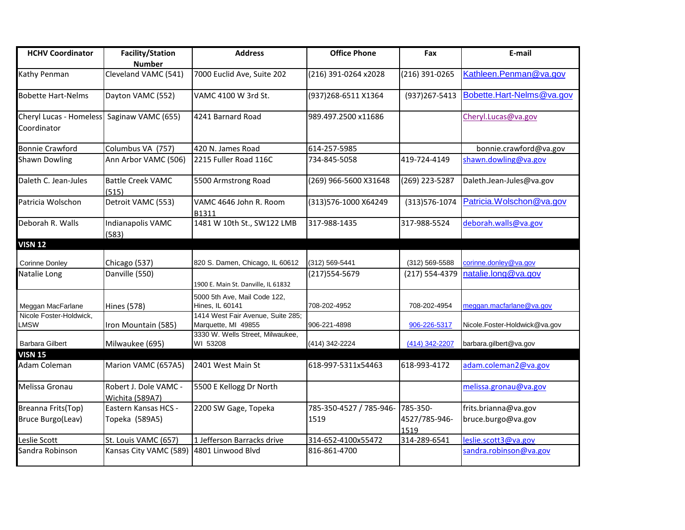| <b>HCHV Coordinator</b>                 | <b>Facility/Station</b><br><b>Number</b> | <b>Address</b>                                           | <b>Office Phone</b>             | Fax                               | E-mail                                     |
|-----------------------------------------|------------------------------------------|----------------------------------------------------------|---------------------------------|-----------------------------------|--------------------------------------------|
| Kathy Penman                            | Cleveland VAMC (541)                     | 7000 Euclid Ave, Suite 202                               | (216) 391-0264 x2028            | (216) 391-0265                    | Kathleen.Penman@va.gov                     |
| <b>Bobette Hart-Nelms</b>               | Dayton VAMC (552)                        | VAMC 4100 W 3rd St.                                      | (937) 268-6511 X1364            | (937) 267-5413                    | Bobette.Hart-Nelms@va.gov                  |
| Cheryl Lucas - Homeless<br>Coordinator  | Saginaw VAMC (655)                       | 4241 Barnard Road                                        | 989.497.2500 x11686             |                                   | Cheryl.Lucas@va.gov                        |
| <b>Bonnie Crawford</b>                  | Columbus VA (757)                        | 420 N. James Road                                        | 614-257-5985                    |                                   | bonnie.crawford@va.gov                     |
| <b>Shawn Dowling</b>                    | Ann Arbor VAMC (506)                     | 2215 Fuller Road 116C                                    | 734-845-5058                    | 419-724-4149                      | shawn.dowling@va.gov                       |
| Daleth C. Jean-Jules                    | <b>Battle Creek VAMC</b><br>(515)        | 5500 Armstrong Road                                      | (269) 966-5600 X31648           | (269) 223-5287                    | Daleth.Jean-Jules@va.gov                   |
| Patricia Wolschon                       | Detroit VAMC (553)                       | VAMC 4646 John R. Room<br>B1311                          | (313)576-1000 X64249            | (313) 576-1074                    | Patricia. Wolschon@va.gov                  |
| Deborah R. Walls                        | Indianapolis VAMC<br>(583)               | 1481 W 10th St., SW122 LMB                               | 317-988-1435                    | 317-988-5524                      | deborah.walls@va.gov                       |
| <b>VISN 12</b>                          |                                          |                                                          |                                 |                                   |                                            |
| <b>Corinne Donley</b>                   | Chicago (537)                            | 820 S. Damen, Chicago, IL 60612                          | (312) 569-5441                  | (312) 569-5588                    | corinne.donley@va.gov                      |
| Natalie Long                            | Danville (550)                           | 1900 E. Main St. Danville, IL 61832                      | (217) 554-5679                  | (217) 554-4379                    | natalie.long@va.gov                        |
| Meggan MacFarlane                       | <b>Hines (578)</b>                       | 5000 5th Ave, Mail Code 122,<br>Hines, IL 60141          | 708-202-4952                    | 708-202-4954                      | meggan.macfarlane@va.gov                   |
| Nicole Foster-Holdwick.<br><b>LMSW</b>  | Iron Mountain (585)                      | 1414 West Fair Avenue, Suite 285;<br>Marquette, MI 49855 | 906-221-4898                    | 906-226-5317                      | Nicole.Foster-Holdwick@va.gov              |
| <b>Barbara Gilbert</b>                  | Milwaukee (695)                          | 3330 W. Wells Street, Milwaukee,<br>WI 53208             | (414) 342-2224                  | (414) 342-2207                    | barbara.gilbert@va.gov                     |
| <b>VISN 15</b><br>Adam Coleman          | Marion VAMC (657A5)                      | 2401 West Main St                                        | 618-997-5311x54463              | 618-993-4172                      | adam.coleman2@va.gov                       |
| Melissa Gronau                          | Robert J. Dole VAMC -<br>Wichita (589A7) | 5500 E Kellogg Dr North                                  |                                 |                                   | melissa.gronau@va.gov                      |
| Breanna Frits(Top)<br>Bruce Burgo(Leav) | Eastern Kansas HCS -<br>Topeka (589A5)   | 2200 SW Gage, Topeka                                     | 785-350-4527 / 785-946-<br>1519 | 785-350-<br>4527/785-946-<br>1519 | frits.brianna@va.gov<br>bruce.burgo@va.gov |
| Leslie Scott                            | St. Louis VAMC (657)                     | 1 Jefferson Barracks drive                               | 314-652-4100x55472              | 314-289-6541                      | leslie.scott3@va.gov                       |
| Sandra Robinson                         | Kansas City VAMC (589)                   | 4801 Linwood Blvd                                        | 816-861-4700                    |                                   | sandra.robinson@va.gov                     |
|                                         |                                          |                                                          |                                 |                                   |                                            |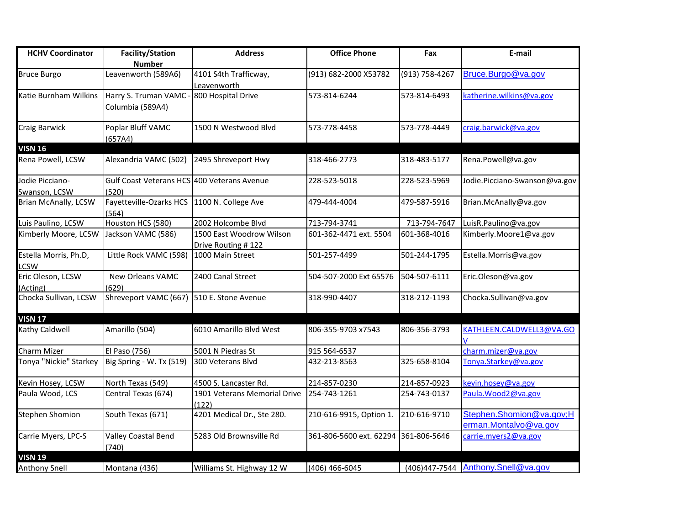| <b>HCHV Coordinator</b>     | <b>Facility/Station</b>                     | <b>Address</b>               | <b>Office Phone</b>     | Fax            | E-mail                             |
|-----------------------------|---------------------------------------------|------------------------------|-------------------------|----------------|------------------------------------|
|                             | <b>Number</b>                               |                              |                         |                |                                    |
| <b>Bruce Burgo</b>          | Leavenworth (589A6)                         | 4101 S4th Trafficway,        | (913) 682-2000 X53782   | (913) 758-4267 | Bruce.Burgo@va.gov                 |
|                             |                                             | Leavenworth                  |                         |                |                                    |
| Katie Burnham Wilkins       | Harry S. Truman VAMC -                      | 800 Hospital Drive           | 573-814-6244            | 573-814-6493   | katherine.wilkins@va.gov           |
|                             | Columbia (589A4)                            |                              |                         |                |                                    |
|                             |                                             |                              |                         |                |                                    |
| Craig Barwick               | Poplar Bluff VAMC                           | 1500 N Westwood Blvd         | 573-778-4458            | 573-778-4449   | craig.barwick@va.gov               |
|                             | (657A4)                                     |                              |                         |                |                                    |
| <b>VISN 16</b>              |                                             |                              |                         |                |                                    |
| Rena Powell, LCSW           | Alexandria VAMC (502)                       | 2495 Shreveport Hwy          | 318-466-2773            | 318-483-5177   | Rena.Powell@va.gov                 |
| Jodie Picciano-             | Gulf Coast Veterans HCS 400 Veterans Avenue |                              | 228-523-5018            | 228-523-5969   | Jodie.Picciano-Swanson@va.gov      |
| Swanson, LCSW               | (520)                                       |                              |                         |                |                                    |
| <b>Brian McAnally, LCSW</b> | Fayetteville-Ozarks HCS 1100 N. College Ave |                              | 479-444-4004            | 479-587-5916   | Brian.McAnally@va.gov              |
|                             | (564)                                       |                              |                         |                |                                    |
| Luis Paulino, LCSW          | Houston HCS (580)                           | 2002 Holcombe Blvd           | 713-794-3741            | 713-794-7647   | LuisR.Paulino@va.gov               |
| Kimberly Moore, LCSW        | Jackson VAMC (586)                          | 1500 East Woodrow Wilson     | 601-362-4471 ext. 5504  | 601-368-4016   | Kimberly.Moore1@va.gov             |
|                             |                                             | Drive Routing #122           |                         |                |                                    |
| Estella Morris, Ph.D,       | Little Rock VAMC (598)                      | 1000 Main Street             | 501-257-4499            | 501-244-1795   | Estella.Morris@va.gov              |
| LCSW                        |                                             |                              |                         |                |                                    |
| Eric Oleson, LCSW           | <b>New Orleans VAMC</b>                     | 2400 Canal Street            | 504-507-2000 Ext 65576  | 504-507-6111   | Eric.Oleson@va.gov                 |
| (Acting)                    | (629)                                       |                              |                         |                |                                    |
| Chocka Sullivan, LCSW       | Shreveport VAMC (667)                       | 510 E. Stone Avenue          | 318-990-4407            | 318-212-1193   | Chocka.Sullivan@va.gov             |
|                             |                                             |                              |                         |                |                                    |
| <b>VISN 17</b>              |                                             |                              |                         |                |                                    |
| Kathy Caldwell              | Amarillo (504)                              | 6010 Amarillo Blvd West      | 806-355-9703 x7543      | 806-356-3793   | KATHLEEN.CALDWELL3@VA.GO           |
|                             |                                             |                              |                         |                |                                    |
| Charm Mizer                 | El Paso (756)                               | 5001 N Piedras St            | 915 564-6537            |                | charm.mizer@va.gov                 |
| Tonya "Nickie" Starkey      | Big Spring - W. Tx (519)                    | 300 Veterans Blvd            | 432-213-8563            | 325-658-8104   | Tonya.Starkey@va.gov               |
| Kevin Hosey, LCSW           | North Texas (549)                           | 4500 S. Lancaster Rd.        | 214-857-0230            | 214-857-0923   | kevin.hosey@va.gov                 |
| Paula Wood, LCS             | Central Texas (674)                         | 1901 Veterans Memorial Drive | 254-743-1261            | 254-743-0137   | Paula. Wood 2@va.gov               |
|                             |                                             | (122)                        |                         |                |                                    |
| <b>Stephen Shomion</b>      | South Texas (671)                           | 4201 Medical Dr., Ste 280.   | 210-616-9915, Option 1. | 210-616-9710   | Stephen.Shomion@va.gov;H           |
|                             |                                             |                              |                         |                | erman.Montalvo@va.gov              |
| Carrie Myers, LPC-S         | Valley Coastal Bend                         | 5283 Old Brownsville Rd      | 361-806-5600 ext. 62294 | 361-806-5646   | carrie.myers2@va.gov               |
|                             | (740)                                       |                              |                         |                |                                    |
| <b>VISN 19</b>              |                                             |                              |                         |                |                                    |
| <b>Anthony Snell</b>        | Montana (436)                               | Williams St. Highway 12 W    | (406) 466-6045          |                | (406)447-7544 Anthony.Snell@va.gov |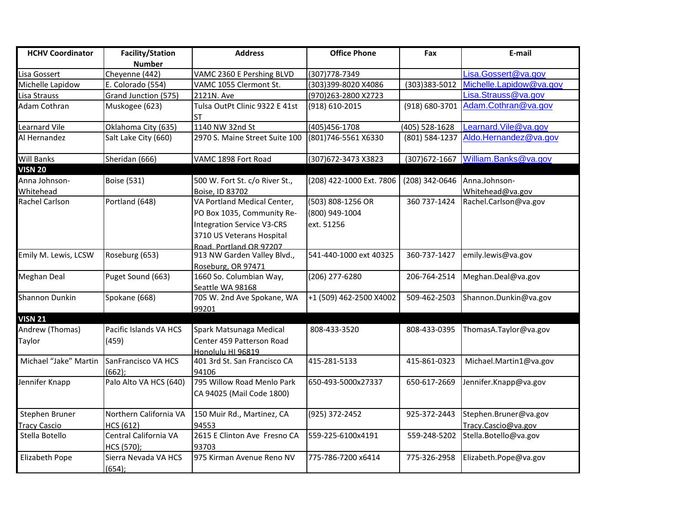| <b>HCHV Coordinator</b>    | <b>Facility/Station</b>             | <b>Address</b>                                                                                                                                        | <b>Office Phone</b>                               | Fax            | E-mail                             |
|----------------------------|-------------------------------------|-------------------------------------------------------------------------------------------------------------------------------------------------------|---------------------------------------------------|----------------|------------------------------------|
|                            | <b>Number</b>                       |                                                                                                                                                       |                                                   |                |                                    |
| Lisa Gossert               | Cheyenne (442)                      | VAMC 2360 E Pershing BLVD                                                                                                                             | (307)778-7349                                     |                | Lisa.Gossert@va.gov                |
| Michelle Lapidow           | E. Colorado (554)                   | VAMC 1055 Clermont St.                                                                                                                                | (303)399-8020 X4086                               | (303)383-5012  | Michelle.Lapidow@va.gov            |
| Lisa Strauss               | Grand Junction (575)                | 2121N. Ave                                                                                                                                            | (970)263-2800 X2723                               |                | Lisa.Strauss@va.gov                |
| Adam Cothran               | Muskogee (623)                      | Tulsa OutPt Clinic 9322 E 41st<br><b>ST</b>                                                                                                           | (918) 610-2015                                    | (918) 680-3701 | Adam.Cothran@va.gov                |
| Learnard Vile              | Oklahoma City (635)                 | 1140 NW 32nd St                                                                                                                                       | (405) 456-1708                                    | (405) 528-1628 | Learnard. Vile@va.gov              |
| Al Hernandez               | Salt Lake City (660)                | 2970 S. Maine Street Suite 100                                                                                                                        | (801)746-5561 X6330                               | (801) 584-1237 | Aldo.Hernandez@va.gov              |
| <b>Will Banks</b>          | Sheridan (666)                      | VAMC 1898 Fort Road                                                                                                                                   | (307) 672-3473 X3823                              |                | (307)672-1667 William.Banks@va.gov |
| <b>VISN 20</b>             |                                     |                                                                                                                                                       |                                                   |                |                                    |
| Anna Johnson-<br>Whitehead | <b>Boise (531)</b>                  | 500 W. Fort St. c/o River St.,<br>Boise, ID 83702                                                                                                     | (208) 422-1000 Ext. 7806                          | (208) 342-0646 | Anna.Johnson-<br>Whitehead@va.gov  |
| Rachel Carlson             | Portland (648)                      | VA Portland Medical Center,<br>PO Box 1035, Community Re-<br><b>Integration Service V3-CRS</b><br>3710 US Veterans Hospital<br>Road Portland OR 97207 | (503) 808-1256 OR<br>(800) 949-1004<br>ext. 51256 | 360 737-1424   | Rachel.Carlson@va.gov              |
| Emily M. Lewis, LCSW       | Roseburg (653)                      | 913 NW Garden Valley Blvd.,<br>Roseburg, OR 97471                                                                                                     | 541-440-1000 ext 40325                            | 360-737-1427   | emily.lewis@va.gov                 |
| <b>Meghan Deal</b>         | Puget Sound (663)                   | 1660 So. Columbian Way,<br>Seattle WA 98168                                                                                                           | (206) 277-6280                                    | 206-764-2514   | Meghan.Deal@va.gov                 |
| Shannon Dunkin             | Spokane (668)                       | 705 W. 2nd Ave Spokane, WA<br>99201                                                                                                                   | +1 (509) 462-2500 X4002                           | 509-462-2503   | Shannon.Dunkin@va.gov              |
| <b>VISN 21</b>             |                                     |                                                                                                                                                       |                                                   |                |                                    |
| Andrew (Thomas)<br>Taylor  | Pacific Islands VA HCS<br>(459)     | Spark Matsunaga Medical<br>Center 459 Patterson Road<br>Honolulu HI 96819                                                                             | 808-433-3520                                      | 808-433-0395   | ThomasA.Taylor@va.gov              |
| Michael "Jake" Martin      | SanFrancisco VA HCS<br>(662):       | 401 3rd St. San Francisco CA<br>94106                                                                                                                 | 415-281-5133                                      | 415-861-0323   | Michael.Martin1@va.gov             |
| Jennifer Knapp             | Palo Alto VA HCS (640)              | 795 Willow Road Menlo Park<br>CA 94025 (Mail Code 1800)                                                                                               | 650-493-5000x27337                                | 650-617-2669   | Jennifer.Knapp@va.gov              |
| Stephen Bruner             | Northern California VA              | 150 Muir Rd., Martinez, CA                                                                                                                            | (925) 372-2452                                    | 925-372-2443   | Stephen.Bruner@va.gov              |
| <b>Tracy Cascio</b>        | <b>HCS (612)</b>                    | 94553                                                                                                                                                 |                                                   |                | Tracy.Cascio@va.gov                |
| Stella Botello             | Central California VA<br>HCS (570); | 2615 E Clinton Ave Fresno CA<br>93703                                                                                                                 | 559-225-6100x4191                                 | 559-248-5202   | Stella.Botello@va.gov              |
| Elizabeth Pope             | Sierra Nevada VA HCS<br>(654);      | 975 Kirman Avenue Reno NV                                                                                                                             | 775-786-7200 x6414                                | 775-326-2958   | Elizabeth.Pope@va.gov              |